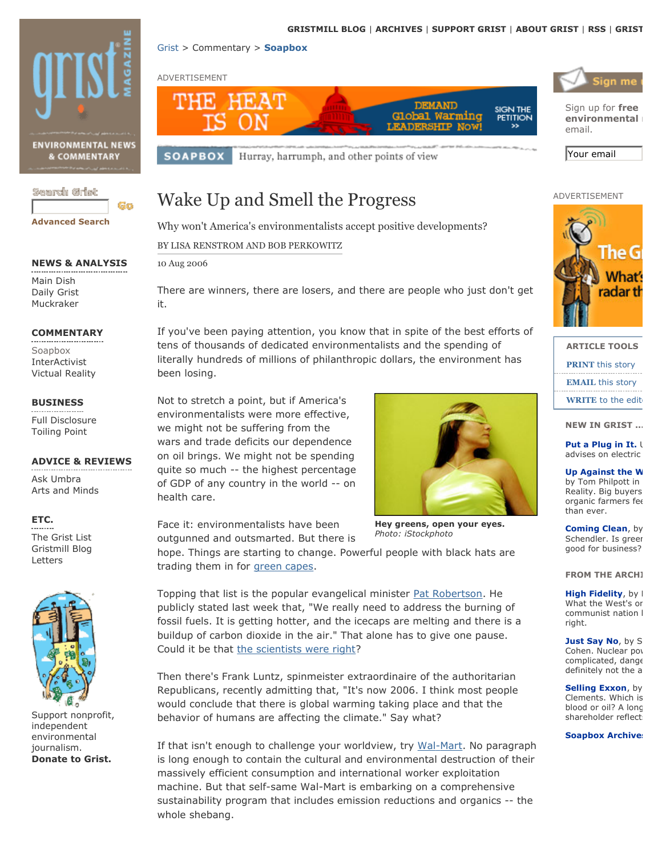



**Up Against the W** by Tom Philpott in Reality. Big buyers organic farmers fee

than ever.

**Coming Clean, by** Schendler. Is areer good for business?

**FROM THE ARCHI** 

High Fidelity, by I What the West's or communist nation I rinht

Just Say No, by S Cohen. Nuclear pov complicated, dange definitely not the a

Selling Exxon, by Clements. Which is blood or oil? A long shareholder reflect:

#### **Soapbox Archive:**

**NEWS & ANALYSIS** Main Dish Daily Grist Muckraker

#### **COMMENTARY**

Soapbox InterActivist **Victual Reality** 

### **BUSINESS**

Full Disclosure **Toiling Point** 

#### **ADVICE & REVIEWS**

Ask Umbra Arts and Minds

### ETC.

The Grist List Gristmill Blog Letters



Support nonprofit, independent environmental journalism. **Donate to Grist.** 

Face it: environmentalists have been

hope. Things are starting to change. Powerful people with black hats are trading them in for green capes.

Topping that list is the popular evangelical minister Pat Robertson. He publicly stated last week that, "We really need to address the burning of fossil fuels. It is getting hotter, and the icecaps are melting and there is a buildup of carbon dioxide in the air." That alone has to give one pause. Could it be that the scientists were right?

Then there's Frank Luntz, spinmeister extraordinaire of the authoritarian Republicans, recently admitting that, "It's now 2006. I think most people would conclude that there is global warming taking place and that the behavior of humans are affecting the climate." Say what?

If that isn't enough to challenge your worldview, try Wal-Mart. No paragraph is long enough to contain the cultural and environmental destruction of their massively efficient consumption and international worker exploitation machine. But that self-same Wal-Mart is embarking on a comprehensive sustainability program that includes emission reductions and organics -- the whole shebang.

on oil brings. We might not be spending quite so much -- the highest percentage of GDP of any country in the world -- on health care.

outgunned and outsmarted. But there is

Hey greens, open your eyes. Photo: iStockphoto